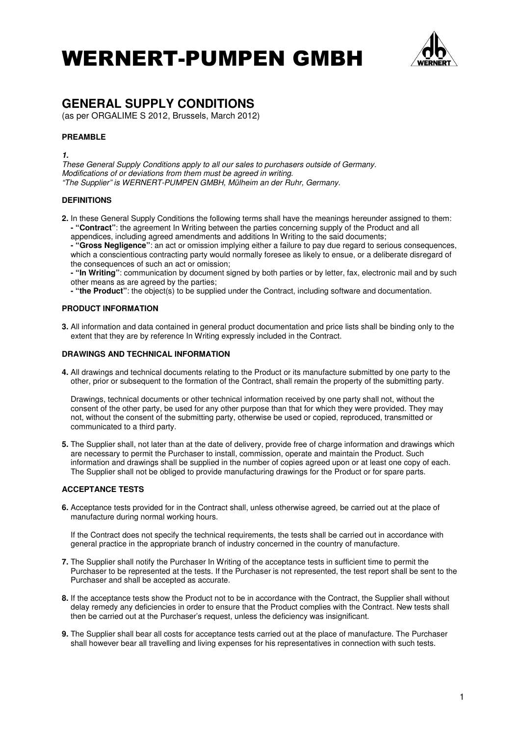

# **GENERAL SUPPLY CONDITIONS**

(as per ORGALIME S 2012, Brussels, March 2012)

# **PREAMBLE**

**1.** 

These General Supply Conditions apply to all our sales to purchasers outside of Germany. Modifications of or deviations from them must be agreed in writing. "The Supplier" is WERNERT-PUMPEN GMBH, Mülheim an der Ruhr, Germany.

### **DEFINITIONS**

**2.** In these General Supply Conditions the following terms shall have the meanings hereunder assigned to them:  **- "Contract"**: the agreement In Writing between the parties concerning supply of the Product and all appendices, including agreed amendments and additions In Writing to the said documents;

 **- "Gross Negligence"**: an act or omission implying either a failure to pay due regard to serious consequences, which a conscientious contracting party would normally foresee as likely to ensue, or a deliberate disregard of the consequences of such an act or omission;

- **"In Writing"**: communication by document signed by both parties or by letter, fax, electronic mail and by such other means as are agreed by the parties;
- **"the Product"**: the object(s) to be supplied under the Contract, including software and documentation.

### **PRODUCT INFORMATION**

**3.** All information and data contained in general product documentation and price lists shall be binding only to the extent that they are by reference In Writing expressly included in the Contract.

#### **DRAWINGS AND TECHNICAL INFORMATION**

**4.** All drawings and technical documents relating to the Product or its manufacture submitted by one party to the other, prior or subsequent to the formation of the Contract, shall remain the property of the submitting party.

 Drawings, technical documents or other technical information received by one party shall not, without the consent of the other party, be used for any other purpose than that for which they were provided. They may not, without the consent of the submitting party, otherwise be used or copied, reproduced, transmitted or communicated to a third party.

**5.** The Supplier shall, not later than at the date of delivery, provide free of charge information and drawings which are necessary to permit the Purchaser to install, commission, operate and maintain the Product. Such information and drawings shall be supplied in the number of copies agreed upon or at least one copy of each. The Supplier shall not be obliged to provide manufacturing drawings for the Product or for spare parts.

### **ACCEPTANCE TESTS**

**6.** Acceptance tests provided for in the Contract shall, unless otherwise agreed, be carried out at the place of manufacture during normal working hours.

 If the Contract does not specify the technical requirements, the tests shall be carried out in accordance with general practice in the appropriate branch of industry concerned in the country of manufacture.

- **7.** The Supplier shall notify the Purchaser In Writing of the acceptance tests in sufficient time to permit the Purchaser to be represented at the tests. If the Purchaser is not represented, the test report shall be sent to the Purchaser and shall be accepted as accurate.
- **8.** If the acceptance tests show the Product not to be in accordance with the Contract, the Supplier shall without delay remedy any deficiencies in order to ensure that the Product complies with the Contract. New tests shall then be carried out at the Purchaser's request, unless the deficiency was insignificant.
- **9.** The Supplier shall bear all costs for acceptance tests carried out at the place of manufacture. The Purchaser shall however bear all travelling and living expenses for his representatives in connection with such tests.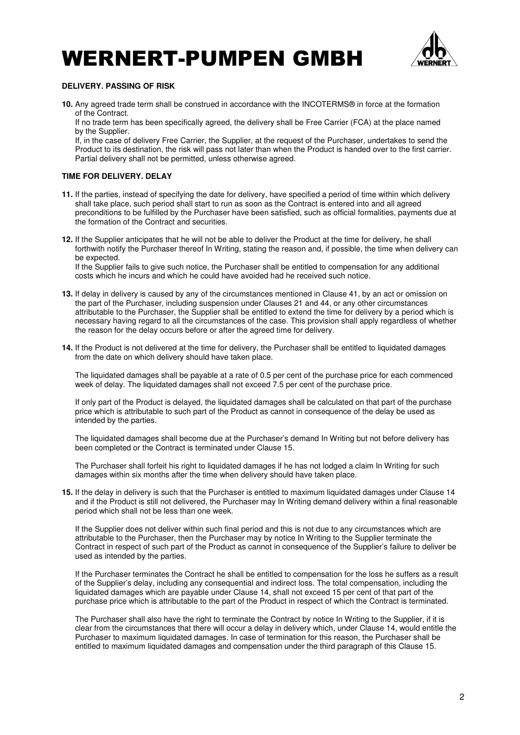

### **DELIVERY. PASSING OF RISK**

**10.** Any agreed trade term shall be construed in accordance with the INCOTERMS® in force at the formation of the Contract.

 If no trade term has been specifically agreed, the delivery shall be Free Carrier (FCA) at the place named by the Supplier.

 If, in the case of delivery Free Carrier, the Supplier, at the request of the Purchaser, undertakes to send the Product to its destination, the risk will pass not later than when the Product is handed over to the first carrier. Partial delivery shall not be permitted, unless otherwise agreed.

## **TIME FOR DELIVERY. DELAY**

- **11.** If the parties, instead of specifying the date for delivery, have specified a period of time within which delivery shall take place, such period shall start to run as soon as the Contract is entered into and all agreed preconditions to be fulfilled by the Purchaser have been satisfied, such as official formalities, payments due at the formation of the Contract and securities.
- **12.** If the Supplier anticipates that he will not be able to deliver the Product at the time for delivery, he shall forthwith notify the Purchaser thereof In Writing, stating the reason and, if possible, the time when delivery can be expected. If the Supplier fails to give such notice, the Purchaser shall be entitled to compensation for any additional costs which he incurs and which he could have avoided had he received such notice.
- **13.** If delay in delivery is caused by any of the circumstances mentioned in Clause 41, by an act or omission on the part of the Purchaser, including suspension under Clauses 21 and 44, or any other circumstances attributable to the Purchaser, the Supplier shall be entitled to extend the time for delivery by a period which is necessary having regard to all the circumstances of the case. This provision shall apply regardless of whether the reason for the delay occurs before or after the agreed time for delivery.
- **14.** If the Product is not delivered at the time for delivery, the Purchaser shall be entitled to liquidated damages from the date on which delivery should have taken place.

 The liquidated damages shall be payable at a rate of 0.5 per cent of the purchase price for each commenced week of delay. The liquidated damages shall not exceed 7.5 per cent of the purchase price.

 If only part of the Product is delayed, the liquidated damages shall be calculated on that part of the purchase price which is attributable to such part of the Product as cannot in consequence of the delay be used as intended by the parties.

 The liquidated damages shall become due at the Purchaser's demand In Writing but not before delivery has been completed or the Contract is terminated under Clause 15.

 The Purchaser shall forfeit his right to liquidated damages if he has not lodged a claim In Writing for such damages within six months after the time when delivery should have taken place.

**15.** If the delay in delivery is such that the Purchaser is entitled to maximum liquidated damages under Clause 14 and if the Product is still not delivered, the Purchaser may In Writing demand delivery within a final reasonable period which shall not be less than one week.

 If the Supplier does not deliver within such final period and this is not due to any circumstances which are attributable to the Purchaser, then the Purchaser may by notice In Writing to the Supplier terminate the Contract in respect of such part of the Product as cannot in consequence of the Supplier's failure to deliver be used as intended by the parties.

 If the Purchaser terminates the Contract he shall be entitled to compensation for the loss he suffers as a result of the Supplier's delay, including any consequential and indirect loss. The total compensation, including the liquidated damages which are payable under Clause 14, shall not exceed 15 per cent of that part of the purchase price which is attributable to the part of the Product in respect of which the Contract is terminated.

 The Purchaser shall also have the right to terminate the Contract by notice In Writing to the Supplier, if it is clear from the circumstances that there will occur a delay in delivery which, under Clause 14, would entitle the Purchaser to maximum liquidated damages. In case of termination for this reason, the Purchaser shall be entitled to maximum liquidated damages and compensation under the third paragraph of this Clause 15.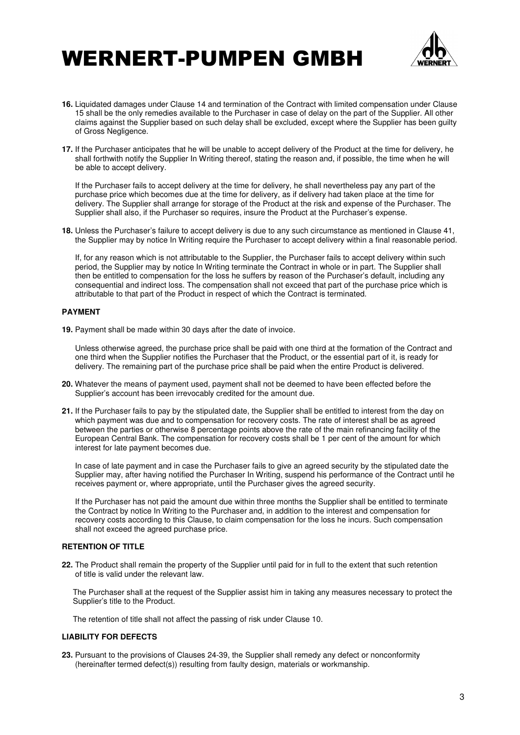

- **16.** Liquidated damages under Clause 14 and termination of the Contract with limited compensation under Clause 15 shall be the only remedies available to the Purchaser in case of delay on the part of the Supplier. All other claims against the Supplier based on such delay shall be excluded, except where the Supplier has been guilty of Gross Negligence.
- **17.** If the Purchaser anticipates that he will be unable to accept delivery of the Product at the time for delivery, he shall forthwith notify the Supplier In Writing thereof, stating the reason and, if possible, the time when he will be able to accept delivery.

 If the Purchaser fails to accept delivery at the time for delivery, he shall nevertheless pay any part of the purchase price which becomes due at the time for delivery, as if delivery had taken place at the time for delivery. The Supplier shall arrange for storage of the Product at the risk and expense of the Purchaser. The Supplier shall also, if the Purchaser so requires, insure the Product at the Purchaser's expense.

**18.** Unless the Purchaser's failure to accept delivery is due to any such circumstance as mentioned in Clause 41, the Supplier may by notice In Writing require the Purchaser to accept delivery within a final reasonable period.

 If, for any reason which is not attributable to the Supplier, the Purchaser fails to accept delivery within such period, the Supplier may by notice In Writing terminate the Contract in whole or in part. The Supplier shall then be entitled to compensation for the loss he suffers by reason of the Purchaser's default, including any consequential and indirect loss. The compensation shall not exceed that part of the purchase price which is attributable to that part of the Product in respect of which the Contract is terminated.

#### **PAYMENT**

**19.** Payment shall be made within 30 days after the date of invoice.

 Unless otherwise agreed, the purchase price shall be paid with one third at the formation of the Contract and one third when the Supplier notifies the Purchaser that the Product, or the essential part of it, is ready for delivery. The remaining part of the purchase price shall be paid when the entire Product is delivered.

- **20.** Whatever the means of payment used, payment shall not be deemed to have been effected before the Supplier's account has been irrevocably credited for the amount due.
- **21.** If the Purchaser fails to pay by the stipulated date, the Supplier shall be entitled to interest from the day on which payment was due and to compensation for recovery costs. The rate of interest shall be as agreed between the parties or otherwise 8 percentage points above the rate of the main refinancing facility of the European Central Bank. The compensation for recovery costs shall be 1 per cent of the amount for which interest for late payment becomes due.

 In case of late payment and in case the Purchaser fails to give an agreed security by the stipulated date the Supplier may, after having notified the Purchaser In Writing, suspend his performance of the Contract until he receives payment or, where appropriate, until the Purchaser gives the agreed security.

 If the Purchaser has not paid the amount due within three months the Supplier shall be entitled to terminate the Contract by notice In Writing to the Purchaser and, in addition to the interest and compensation for recovery costs according to this Clause, to claim compensation for the loss he incurs. Such compensation shall not exceed the agreed purchase price.

#### **RETENTION OF TITLE**

**22.** The Product shall remain the property of the Supplier until paid for in full to the extent that such retention of title is valid under the relevant law.

 The Purchaser shall at the request of the Supplier assist him in taking any measures necessary to protect the Supplier's title to the Product.

The retention of title shall not affect the passing of risk under Clause 10.

#### **LIABILITY FOR DEFECTS**

**23.** Pursuant to the provisions of Clauses 24-39, the Supplier shall remedy any defect or nonconformity (hereinafter termed defect(s)) resulting from faulty design, materials or workmanship.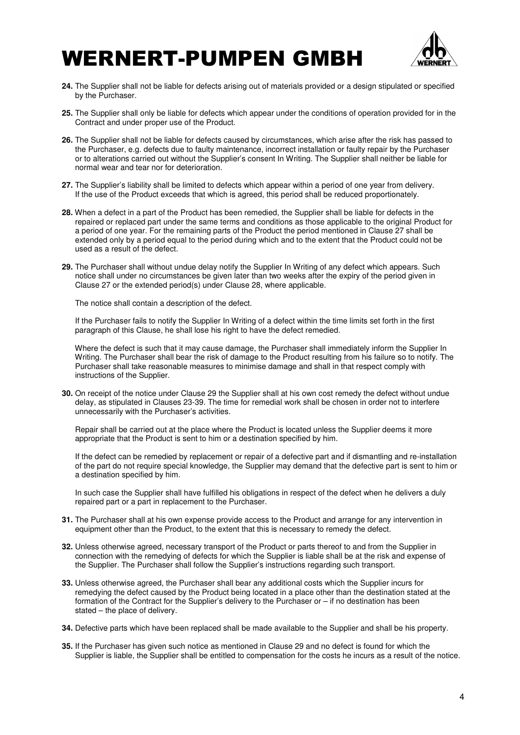

- **24.** The Supplier shall not be liable for defects arising out of materials provided or a design stipulated or specified by the Purchaser.
- **25.** The Supplier shall only be liable for defects which appear under the conditions of operation provided for in the Contract and under proper use of the Product.
- **26.** The Supplier shall not be liable for defects caused by circumstances, which arise after the risk has passed to the Purchaser, e.g. defects due to faulty maintenance, incorrect installation or faulty repair by the Purchaser or to alterations carried out without the Supplier's consent In Writing. The Supplier shall neither be liable for normal wear and tear nor for deterioration.
- **27.** The Supplier's liability shall be limited to defects which appear within a period of one year from delivery. If the use of the Product exceeds that which is agreed, this period shall be reduced proportionately.
- **28.** When a defect in a part of the Product has been remedied, the Supplier shall be liable for defects in the repaired or replaced part under the same terms and conditions as those applicable to the original Product for a period of one year. For the remaining parts of the Product the period mentioned in Clause 27 shall be extended only by a period equal to the period during which and to the extent that the Product could not be used as a result of the defect.
- **29.** The Purchaser shall without undue delay notify the Supplier In Writing of any defect which appears. Such notice shall under no circumstances be given later than two weeks after the expiry of the period given in Clause 27 or the extended period(s) under Clause 28, where applicable.

The notice shall contain a description of the defect.

 If the Purchaser fails to notify the Supplier In Writing of a defect within the time limits set forth in the first paragraph of this Clause, he shall lose his right to have the defect remedied.

Where the defect is such that it may cause damage, the Purchaser shall immediately inform the Supplier In Writing. The Purchaser shall bear the risk of damage to the Product resulting from his failure so to notify. The Purchaser shall take reasonable measures to minimise damage and shall in that respect comply with instructions of the Supplier.

**30.** On receipt of the notice under Clause 29 the Supplier shall at his own cost remedy the defect without undue delay, as stipulated in Clauses 23-39. The time for remedial work shall be chosen in order not to interfere unnecessarily with the Purchaser's activities.

 Repair shall be carried out at the place where the Product is located unless the Supplier deems it more appropriate that the Product is sent to him or a destination specified by him.

 If the defect can be remedied by replacement or repair of a defective part and if dismantling and re-installation of the part do not require special knowledge, the Supplier may demand that the defective part is sent to him or a destination specified by him.

 In such case the Supplier shall have fulfilled his obligations in respect of the defect when he delivers a duly repaired part or a part in replacement to the Purchaser.

- **31.** The Purchaser shall at his own expense provide access to the Product and arrange for any intervention in equipment other than the Product, to the extent that this is necessary to remedy the defect.
- **32.** Unless otherwise agreed, necessary transport of the Product or parts thereof to and from the Supplier in connection with the remedying of defects for which the Supplier is liable shall be at the risk and expense of the Supplier. The Purchaser shall follow the Supplier's instructions regarding such transport.
- **33.** Unless otherwise agreed, the Purchaser shall bear any additional costs which the Supplier incurs for remedying the defect caused by the Product being located in a place other than the destination stated at the formation of the Contract for the Supplier's delivery to the Purchaser or – if no destination has been stated – the place of delivery.
- **34.** Defective parts which have been replaced shall be made available to the Supplier and shall be his property.
- **35.** If the Purchaser has given such notice as mentioned in Clause 29 and no defect is found for which the Supplier is liable, the Supplier shall be entitled to compensation for the costs he incurs as a result of the notice.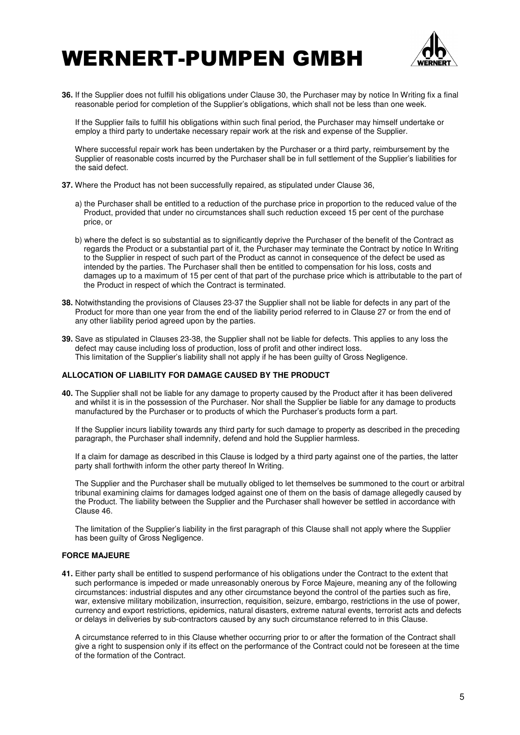

**36.** If the Supplier does not fulfill his obligations under Clause 30, the Purchaser may by notice In Writing fix a final reasonable period for completion of the Supplier's obligations, which shall not be less than one week.

 If the Supplier fails to fulfill his obligations within such final period, the Purchaser may himself undertake or employ a third party to undertake necessary repair work at the risk and expense of the Supplier.

 Where successful repair work has been undertaken by the Purchaser or a third party, reimbursement by the Supplier of reasonable costs incurred by the Purchaser shall be in full settlement of the Supplier's liabilities for the said defect.

- **37.** Where the Product has not been successfully repaired, as stipulated under Clause 36,
	- a) the Purchaser shall be entitled to a reduction of the purchase price in proportion to the reduced value of the Product, provided that under no circumstances shall such reduction exceed 15 per cent of the purchase price, or
	- b) where the defect is so substantial as to significantly deprive the Purchaser of the benefit of the Contract as regards the Product or a substantial part of it, the Purchaser may terminate the Contract by notice In Writing to the Supplier in respect of such part of the Product as cannot in consequence of the defect be used as intended by the parties. The Purchaser shall then be entitled to compensation for his loss, costs and damages up to a maximum of 15 per cent of that part of the purchase price which is attributable to the part of the Product in respect of which the Contract is terminated.
- **38.** Notwithstanding the provisions of Clauses 23-37 the Supplier shall not be liable for defects in any part of the Product for more than one year from the end of the liability period referred to in Clause 27 or from the end of any other liability period agreed upon by the parties.
- **39.** Save as stipulated in Clauses 23-38, the Supplier shall not be liable for defects. This applies to any loss the defect may cause including loss of production, loss of profit and other indirect loss. This limitation of the Supplier's liability shall not apply if he has been guilty of Gross Negligence.

### **ALLOCATION OF LIABILITY FOR DAMAGE CAUSED BY THE PRODUCT**

**40.** The Supplier shall not be liable for any damage to property caused by the Product after it has been delivered and whilst it is in the possession of the Purchaser. Nor shall the Supplier be liable for any damage to products manufactured by the Purchaser or to products of which the Purchaser's products form a part.

 If the Supplier incurs liability towards any third party for such damage to property as described in the preceding paragraph, the Purchaser shall indemnify, defend and hold the Supplier harmless.

 If a claim for damage as described in this Clause is lodged by a third party against one of the parties, the latter party shall forthwith inform the other party thereof In Writing.

 The Supplier and the Purchaser shall be mutually obliged to let themselves be summoned to the court or arbitral tribunal examining claims for damages lodged against one of them on the basis of damage allegedly caused by the Product. The liability between the Supplier and the Purchaser shall however be settled in accordance with Clause 46.

 The limitation of the Supplier's liability in the first paragraph of this Clause shall not apply where the Supplier has been guilty of Gross Negligence.

#### **FORCE MAJEURE**

**41.** Either party shall be entitled to suspend performance of his obligations under the Contract to the extent that such performance is impeded or made unreasonably onerous by Force Majeure, meaning any of the following circumstances: industrial disputes and any other circumstance beyond the control of the parties such as fire, war, extensive military mobilization, insurrection, requisition, seizure, embargo, restrictions in the use of power, currency and export restrictions, epidemics, natural disasters, extreme natural events, terrorist acts and defects or delays in deliveries by sub-contractors caused by any such circumstance referred to in this Clause.

 A circumstance referred to in this Clause whether occurring prior to or after the formation of the Contract shall give a right to suspension only if its effect on the performance of the Contract could not be foreseen at the time of the formation of the Contract.